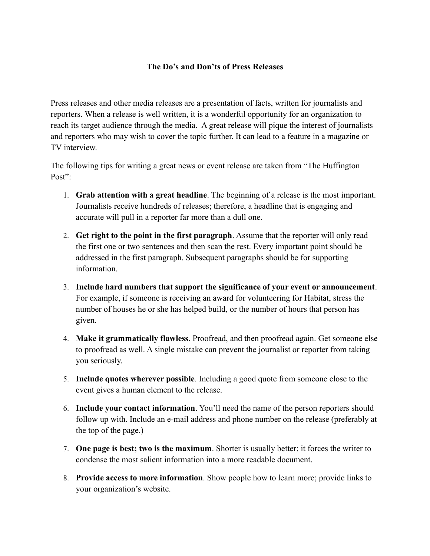## **The Do's and Don'ts of Press Releases**

Press releases and other media releases are a presentation of facts, written for journalists and reporters. When a release is well written, it is a wonderful opportunity for an organization to reach its target audience through the media. A great release will pique the interest of journalists and reporters who may wish to cover the topic further. It can lead to a feature in a magazine or TV interview.

The following tips for writing a great news or event release are taken from "The Huffington Post"

- 1. **Grab attention with a great headline**. The beginning of a release is the most important. Journalists receive hundreds of releases; therefore, a headline that is engaging and accurate will pull in a reporter far more than a dull one.
- 2. **Get right to the point in the first paragraph**. Assume that the reporter will only read the first one or two sentences and then scan the rest. Every important point should be addressed in the first paragraph. Subsequent paragraphs should be for supporting information.
- 3. **Include hard numbers that support the significance of your event or announcement**. For example, if someone is receiving an award for volunteering for Habitat, stress the number of houses he or she has helped build, or the number of hours that person has given.
- 4. **Make it grammatically flawless**. Proofread, and then proofread again. Get someone else to proofread as well. A single mistake can prevent the journalist or reporter from taking you seriously.
- 5. **Include quotes wherever possible**. Including a good quote from someone close to the event gives a human element to the release.
- 6. **Include your contact information**. You'll need the name of the person reporters should follow up with. Include an e-mail address and phone number on the release (preferably at the top of the page.)
- 7. **One page is best; two is the maximum**. Shorter is usually better; it forces the writer to condense the most salient information into a more readable document.
- 8. **Provide access to more information**. Show people how to learn more; provide links to your organization's website.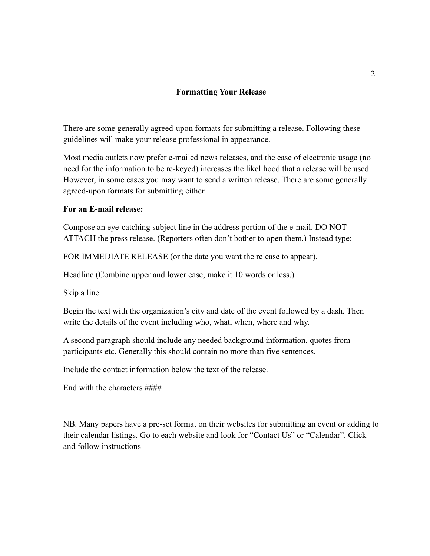### **Formatting Your Release**

There are some generally agreed-upon formats for submitting a release. Following these guidelines will make your release professional in appearance.

Most media outlets now prefer e-mailed news releases, and the ease of electronic usage (no need for the information to be re-keyed) increases the likelihood that a release will be used. However, in some cases you may want to send a written release. There are some generally agreed-upon formats for submitting either.

#### **For an E-mail release:**

Compose an eye-catching subject line in the address portion of the e-mail. DO NOT ATTACH the press release. (Reporters often don't bother to open them.) Instead type:

FOR IMMEDIATE RELEASE (or the date you want the release to appear).

Headline (Combine upper and lower case; make it 10 words or less.)

Skip a line

Begin the text with the organization's city and date of the event followed by a dash. Then write the details of the event including who, what, when, where and why.

A second paragraph should include any needed background information, quotes from participants etc. Generally this should contain no more than five sentences.

Include the contact information below the text of the release.

End with the characters ####

NB. Many papers have a pre-set format on their websites for submitting an event or adding to their calendar listings. Go to each website and look for "Contact Us" or "Calendar". Click and follow instructions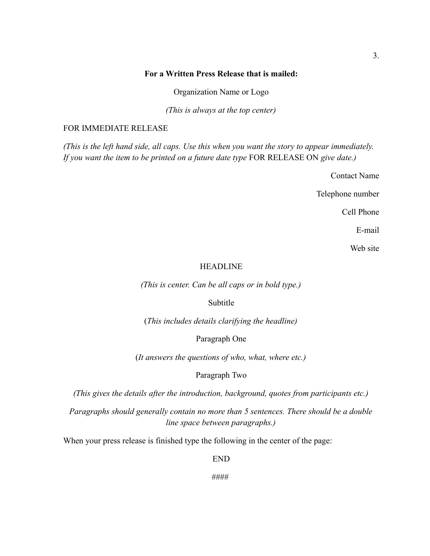### **For a Written Press Release that is mailed:**

Organization Name or Logo

*(This is always at the top center)*

#### FOR IMMEDIATE RELEASE

*(This is the left hand side, all caps. Use this when you want the story to appear immediately. If you want the item to be printed on a future date type* FOR RELEASE ON *give date.)*

Contact Name

Telephone number

Cell Phone

E-mail

Web site

### HEADLINE

*(This is center. Can be all caps or in bold type.)*

Subtitle

(*This includes details clarifying the headline)*

Paragraph One

(*It answers the questions of who, what, where etc.)*

Paragraph Two

*(This gives the details after the introduction, background, quotes from participants etc.)*

*Paragraphs should generally contain no more than 5 sentences. There should be a double line space between paragraphs.)*

When your press release is finished type the following in the center of the page:

END

####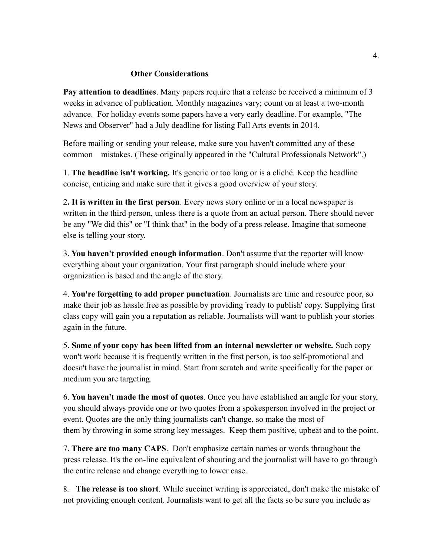### **Other Considerations**

**Pay attention to deadlines**. Many papers require that a release be received a minimum of 3 weeks in advance of publication. Monthly magazines vary; count on at least a two-month advance. For holiday events some papers have a very early deadline. For example, "The News and Observer" had a July deadline for listing Fall Arts events in 2014.

Before mailing or sending your release, make sure you haven't committed any of these common mistakes. (These originally appeared in the "Cultural Professionals Network".)

1. **The headline isn't working.** It's generic or too long or is a cliché. Keep the headline concise, enticing and make sure that it gives a good overview of your story.

2**. It is written in the first person**. Every news story online or in a local newspaper is written in the third person, unless there is a quote from an actual person. There should never be any "We did this" or "I think that" in the body of a press release. Imagine that someone else is telling your story.

3. **You haven't provided enough information**. Don't assume that the reporter will know everything about your organization. Your first paragraph should include where your organization is based and the angle of the story.

4. **You're forgetting to add proper punctuation**. Journalists are time and resource poor, so make their job as hassle free as possible by providing 'ready to publish' copy. Supplying first class copy will gain you a reputation as reliable. Journalists will want to publish your stories again in the future.

5. **Some of your copy has been lifted from an internal newsletter or website.** Such copy won't work because it is frequently written in the first person, is too self-promotional and doesn't have the journalist in mind. Start from scratch and write specifically for the paper or medium you are targeting.

6. **You haven't made the most of quotes**. Once you have established an angle for your story, you should always provide one or two quotes from a spokesperson involved in the project or event. Quotes are the only thing journalists can't change, so make the most of them by throwing in some strong key messages. Keep them positive, upbeat and to the point.

7. **There are too many CAPS**. Don't emphasize certain names or words throughout the press release. It's the on-line equivalent of shouting and the journalist will have to go through the entire release and change everything to lower case.

8. **The release is too short**. While succinct writing is appreciated, don't make the mistake of not providing enough content. Journalists want to get all the facts so be sure you include as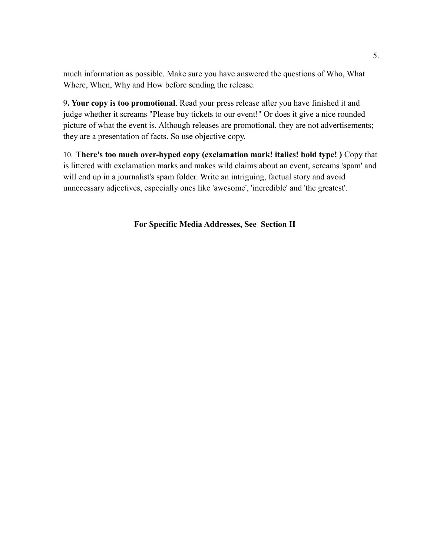much information as possible. Make sure you have answered the questions of Who, What Where, When, Why and How before sending the release.

9**. Your copy is too promotional**. Read your press release after you have finished it and judge whether it screams "Please buy tickets to our event!" Or does it give a nice rounded picture of what the event is. Although releases are promotional, they are not advertisements; they are a presentation of facts. So use objective copy.

10. **There's too much over-hyped copy (exclamation mark! italics! bold type! )** Copy that is littered with exclamation marks and makes wild claims about an event, screams 'spam' and will end up in a journalist's spam folder. Write an intriguing, factual story and avoid unnecessary adjectives, especially ones like 'awesome', 'incredible' and 'the greatest'.

**For Specific Media Addresses, See Section II**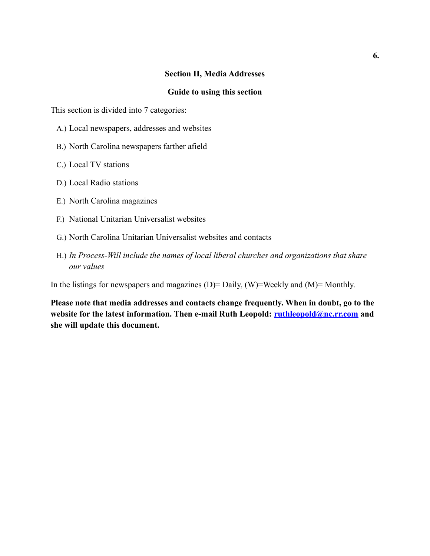### **Section II, Media Addresses**

#### **Guide to using this section**

This section is divided into 7 categories:

- A.) Local newspapers, addresses and websites
- B.) North Carolina newspapers farther afield
- C.) Local TV stations
- D.) Local Radio stations
- E.) North Carolina magazines
- F.) National Unitarian Universalist websites
- G.) North Carolina Unitarian Universalist websites and contacts
- H.) *In Process-Will include the names of local liberal churches and organizations that share our values*

In the listings for newspapers and magazines (D)= Daily, (W)=Weekly and (M)= Monthly.

**Please note that media addresses and contacts change frequently. When in doubt, go to the website for the latest information. Then e-mail Ruth Leopold: [ruthleopold@nc.rr.com](mailto:ruthleopold@nc.rr.com) and she will update this document.**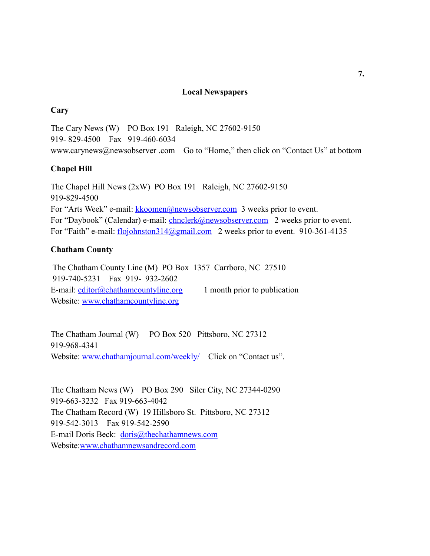### **Local Newspapers**

### **Cary**

The Cary News (W) PO Box 191 Raleigh, NC 27602-9150 919- 829-4500 Fax 919-460-6034 www.carynews@newsobserver .com Go to "Home," then click on "Contact Us" at bottom

### **Chapel Hill**

The Chapel Hill News (2xW) PO Box 191 Raleigh, NC 27602-9150 919-829-4500 For "Arts Week" e-mail: [kkoomen@newsobserver.com](mailto:kkoomen@newsobserver.com) 3 weeks prior to event. For "Daybook" (Calendar) e-mail: [chnclerk@newsobserver.com](mailto:chnclerk@newsobserver.com) 2 weeks prior to event. For "Faith" e-mail: [flojohnston314@gmail.com](mailto:flojohnston314@gmail.com) 2 weeks prior to event. 910-361-4135

## **Chatham County**

 The Chatham County Line (M) PO Box 1357 Carrboro, NC 27510 919-740-5231 Fax 919- 932-2602 E-mail:  $editor@chathamcountpline.org$  1 month prior to publication Website: [www.chathamcountyline.org](http://www.chathamcountyline.org/)

The Chatham Journal (W) PO Box 520 Pittsboro, NC 27312 919-968-4341 Website: [www.chathamjournal.com/weekly/](http://www.chathamjournal.com/weekly/) Click on "Contact us".

The Chatham News (W) PO Box 290 Siler City, NC 27344-0290 919-663-3232 Fax 919-663-4042 The Chatham Record (W) 19 Hillsboro St. Pittsboro, NC 27312 919-542-3013 Fax 919-542-2590 E-mail Doris Beck: [doris@thechathamnews.com](mailto:doris@thechathamnews.com) Website[:www.chathamnewsandrecord.com](http://www.chathamnewsandrecord.com/)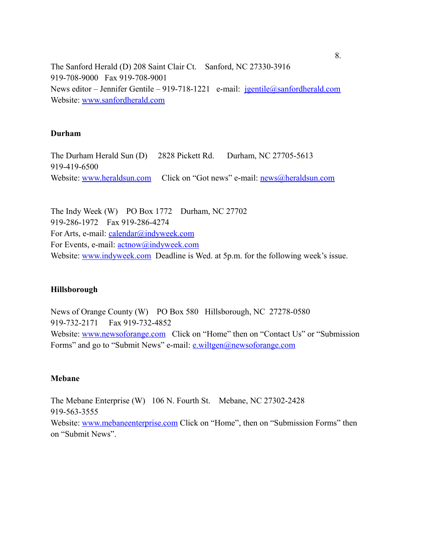The Sanford Herald (D) 208 Saint Clair Ct. Sanford, NC 27330-3916 919-708-9000 Fax 919-708-9001 News editor – Jennifer Gentile – 919-718-1221 e-mail:  $igentile@sanfordherald.com$ Website: [www.sanfordherald.com](http://www.sanfordherald.com/)

#### **Durham**

The Durham Herald Sun (D) 2828 Pickett Rd. Durham, NC 27705-5613 919-419-6500 Website: [www.heraldsun.com](http://www.heraldsun.com/) Click on "Got news" e-mail: [news@heraldsun.com](mailto:news@heraldsun.com)

The Indy Week (W) PO Box 1772 Durham, NC 27702 919-286-1972 Fax 919-286-4274 For Arts, e-mail: [calendar@indyweek.com](mailto:calendar@indyweek.com) For Events, e-mail:  $\frac{\text{actnow}(a) \text{indyweek.com}}{\text{actnow}(a) \text{indyweek.com}}$ Website: [www.indyweek.com](http://www.indyweek.com/) Deadline is Wed. at 5p.m. for the following week's issue.

#### **Hillsborough**

News of Orange County (W) PO Box 580 Hillsborough, NC 27278-0580 919-732-2171 Fax 919-732-4852 Website: [www.newsoforange.com](http://www.newsoforange.com/) Click on "Home" then on "Contact Us" or "Submission" Forms" and go to "Submit News" e-mail: **e.wiltgen@newsoforange.com** 

### **Mebane**

The Mebane Enterprise (W) 106 N. Fourth St. Mebane, NC 27302-2428 919-563-3555 Website: [www.mebaneenterprise.com](http://www.mebaneenterprise.com/) Click on "Home", then on "Submission Forms" then on "Submit News".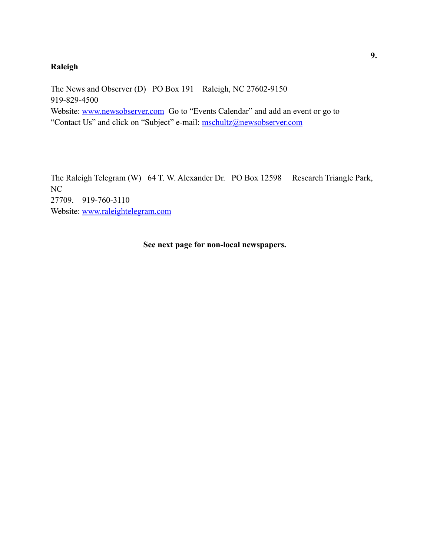# **Raleigh**

The News and Observer (D) PO Box 191 Raleigh, NC 27602-9150 919-829-4500 Website: [www.newsobserver.com](http://www.newsobserver.com/) Go to "Events Calendar" and add an event or go to "Contact Us" and click on "Subject" e-mail: [mschultz@newsobserver.com](mailto:mschultz@newsobserver.com)

The Raleigh Telegram (W) 64 T. W. Alexander Dr. PO Box 12598 Research Triangle Park, NC 27709. 919-760-3110 Website: [www.raleightelegram.com](http://www.raleightelegram.com/)

**See next page for non-local newspapers.**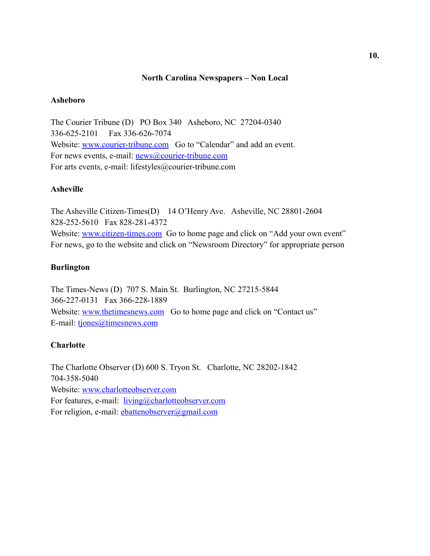### **North Carolina Newspapers – Non Local**

#### **Asheboro**

The Courier Tribune (D) PO Box 340 Asheboro, NC 27204-0340 336-625-2101 Fax 336-626-7074 Website: [www.courier-tribune.com](http://www.courier-tribune.com/) Go to "Calendar" and add an event. For news events, e-mail: news@courier-tribune.com For arts events, e-mail: lifestyles@courier-tribune.com

### **Asheville**

The Asheville Citizen-Times(D) 14 O'Henry Ave. Asheville, NC 28801-2604 828-252-5610 Fax 828-281-4372 Website: [www.citizen-times.com](http://www.citizen-times.com/) Go to home page and click on "Add your own event" For news, go to the website and click on "Newsroom Directory" for appropriate person

## **Burlington**

The Times-News (D) 707 S. Main St. Burlington, NC 27215-5844 366-227-0131 Fax 366-228-1889 Website: [www.thetimesnews.com](http://www.thetimesnews.com/) Go to home page and click on "Contact us" E-mail: [tjones@timesnews.com](mailto:tjones@timesnews.com)

## **Charlotte**

The Charlotte Observer (D) 600 S. Tryon St. Charlotte, NC 28202-1842 704-358-5040 Website: [www.charlotteobserver.com](http://www.charlotteobserver.com/)  For features, e-mail: <u>[living@charlotteobserver.com](mailto:living@charlotteobserver.com)</u> For religion, e-mail: *ebattenobserver@gmail.com*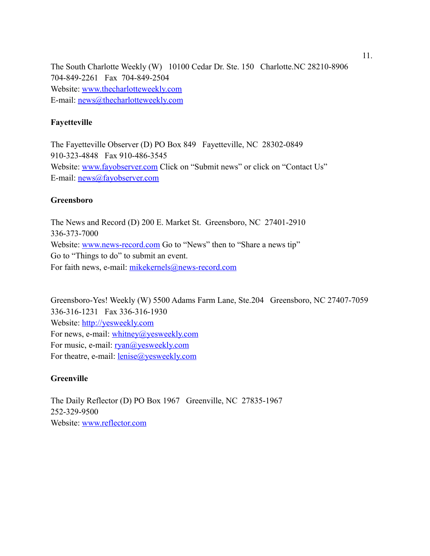The South Charlotte Weekly (W) 10100 Cedar Dr. Ste. 150 Charlotte.NC 28210-8906 704-849-2261 Fax 704-849-2504 Website: [www.thecharlotteweekly.com](http://www.thecharlotteweekly.com/) E-mail: [news@thecharlotteweekly.com](mailto:news@thecharlotteweekly.com)

## **Fayetteville**

The Fayetteville Observer (D) PO Box 849 Fayetteville, NC 28302-0849 910-323-4848 Fax 910-486-3545 Website: [www.fayobserver.com](http://www.fayobserver.com/) Click on "Submit news" or click on "Contact Us" E-mail: [news@fayobserver.com](mailto:news@fayobserver.com)

### **Greensboro**

The News and Record (D) 200 E. Market St. Greensboro, NC 27401-2910 336-373-7000 Website: [www.news-record.com](http://www.news-record.com/) Go to "News" then to "Share a news tip" Go to "Things to do" to submit an event. For faith news, e-mail: [mikekernels@news-record.com](mailto:mikekernels@news-record.com)

Greensboro-Yes! Weekly (W) 5500 Adams Farm Lane, Ste.204 Greensboro, NC 27407-7059 336-316-1231 Fax 336-316-1930 Website: [http://yesweekly.com](http://yesweekly.com/) For news, e-mail: [whitney@yesweekly.com](mailto:whitney@yesweekly.com) For music, e-mail: <u>ryan@yesweekly.com</u> For theatre, e-mail: <u>lenise@yesweekly.com</u>

### **Greenville**

The Daily Reflector (D) PO Box 1967 Greenville, NC 27835-1967 252-329-9500 Website: [www.reflector.com](http://www.reflector.com/)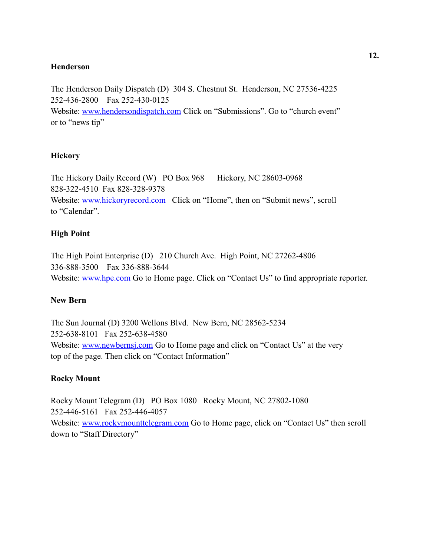## **Henderson**

The Henderson Daily Dispatch (D) 304 S. Chestnut St. Henderson, NC 27536-4225 252-436-2800 Fax 252-430-0125 Website: [www.hendersondispatch.com](http://www.hendersondispatch.com/) Click on "Submissions". Go to "church event" or to "news tip"

# **Hickory**

The Hickory Daily Record (W) PO Box 968 Hickory, NC 28603-0968 828-322-4510 Fax 828-328-9378 Website: [www.hickoryrecord.com](http://www.hickoryrecord.com/) Click on "Home", then on "Submit news", scroll to "Calendar".

# **High Point**

The High Point Enterprise (D) 210 Church Ave. High Point, NC 27262-4806 336-888-3500 Fax 336-888-3644 Website: [www.hpe.com](http://www.hpe.com/) Go to Home page. Click on "Contact Us" to find appropriate reporter.

## **New Bern**

The Sun Journal (D) 3200 Wellons Blvd. New Bern, NC 28562-5234 252-638-8101 Fax 252-638-4580 Website: [www.newbernsj.com](http://www.newbernsj.com/) Go to Home page and click on "Contact Us" at the very top of the page. Then click on "Contact Information"

## **Rocky Mount**

Rocky Mount Telegram (D) PO Box 1080 Rocky Mount, NC 27802-1080 252-446-5161 Fax 252-446-4057 Website: [www.rockymounttelegram.com](http://www.rockymounttelegram.com/) Go to Home page, click on "Contact Us" then scroll down to "Staff Directory"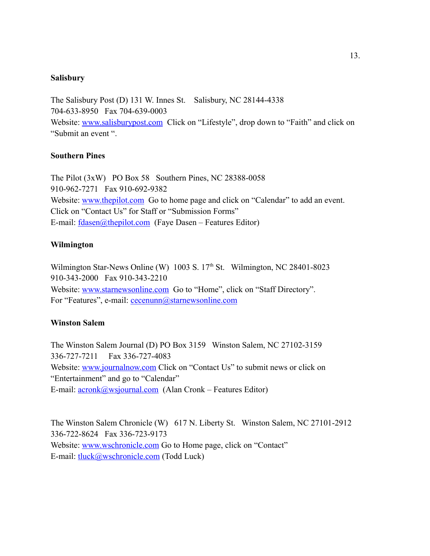#### **Salisbury**

The Salisbury Post (D) 131 W. Innes St. Salisbury, NC 28144-4338 704-633-8950 Fax 704-639-0003 Website: [www.salisburypost.com](http://www.salisburypost.com/) Click on "Lifestyle", drop down to "Faith" and click on "Submit an event ".

### **Southern Pines**

The Pilot (3xW) PO Box 58 Southern Pines, NC 28388-0058 910-962-7271 Fax 910-692-9382 Website: [www.thepilot.com](http://www.thepilot.com/) Go to home page and click on "Calendar" to add an event. Click on "Contact Us" for Staff or "Submission Forms" E-mail: [fdasen@thepilot.com](mailto:fdasen@thepilot.com) (Faye Dasen – Features Editor)

#### **Wilmington**

Wilmington Star-News Online (W)  $1003$  S.  $17<sup>th</sup>$  St. Wilmington, NC 28401-8023 910-343-2000 Fax 910-343-2210 Website: [www.starnewsonline.com](http://www.starnewsonline.com/) Go to "Home", click on "Staff Directory". For "Features", e-mail: cecenunn@starnewsonline.com

### **Winston Salem**

The Winston Salem Journal (D) PO Box 3159 Winston Salem, NC 27102-3159 336-727-7211 Fax 336-727-4083 Website: [www.journalnow.com](http://www.journalnow.com/) Click on "Contact Us" to submit news or click on "Entertainment" and go to "Calendar" E-mail: [acronk@wsjournal.com](mailto:acronk@wsjournal.com) (Alan Cronk – Features Editor)

The Winston Salem Chronicle (W) 617 N. Liberty St. Winston Salem, NC 27101-2912 336-722-8624 Fax 336-723-9173 Website: [www.wschronicle.com](http://www.wschronicle.com/) Go to Home page, click on "Contact" E-mail: [tluck@wschronicle.com](mailto:tluck@wschronicle.com) (Todd Luck)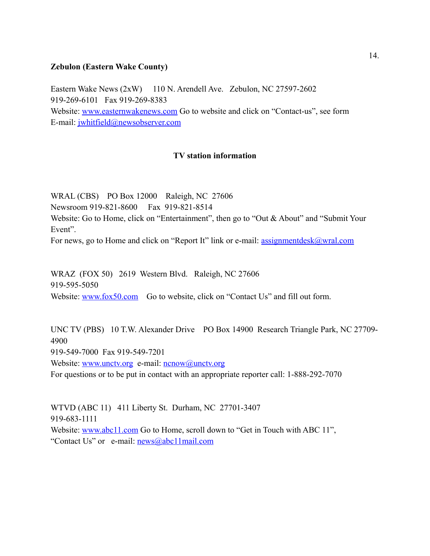#### **Zebulon (Eastern Wake County)**

Eastern Wake News (2xW) 110 N. Arendell Ave. Zebulon, NC 27597-2602 919-269-6101 Fax 919-269-8383 Website: [www.easternwakenews.com](http://www.easternwakenews.com/) Go to website and click on "Contact-us", see form

E-mail: [jwhitfield@newsobserver.com](mailto:jwhitfield@newsobserver.com)

## **TV station information**

WRAL (CBS) PO Box 12000 Raleigh, NC 27606 Newsroom 919-821-8600 Fax 919-821-8514 Website: Go to Home, click on "Entertainment", then go to "Out & About" and "Submit Your Event".

For news, go to Home and click on "Report It" link or e-mail: <u>assignmentdesk@wral.com</u>

WRAZ (FOX 50) 2619 Western Blvd. Raleigh, NC 27606 919-595-5050 Website: [www.fox50.com](http://www.fox50.com/) Go to website, click on "Contact Us" and fill out form.

UNC TV (PBS) 10 T.W. Alexander Drive PO Box 14900 Research Triangle Park, NC 27709- 4900 919-549-7000 Fax 919-549-7201 Website: [www.unctv.org](http://www.unctv.org/) e-mail: [ncnow@unctv.org](mailto:ncnow@unctv.org) For questions or to be put in contact with an appropriate reporter call: 1-888-292-7070

WTVD (ABC 11) 411 Liberty St. Durham, NC 27701-3407 919-683-1111 Website: [www.abc11.com](http://www.abc11.com/) Go to Home, scroll down to "Get in Touch with ABC 11", "Contact Us" or e-mail:  $news@abc11mail.com$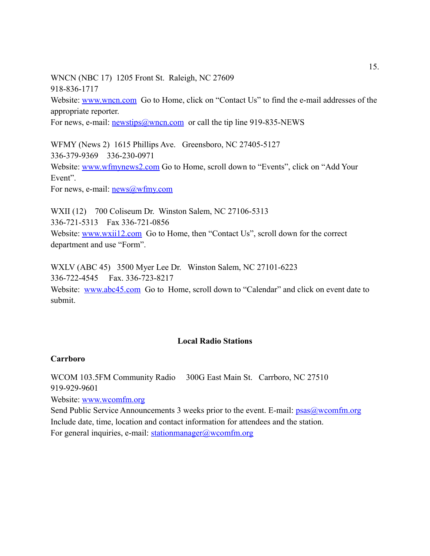WNCN (NBC 17) 1205 Front St. Raleigh, NC 27609 918-836-1717

Website: [www.wncn.com](http://www.wncn.com/) Go to Home, click on "Contact Us" to find the e-mail addresses of the appropriate reporter.

For news, e-mail: [newstips@wncn.com](mailto:newstips@wncn.com) or call the tip line 919-835-NEWS

WFMY (News 2) 1615 Phillips Ave. Greensboro, NC 27405-5127 336-379-9369 336-230-0971 Website: [www.wfmynews2.com](http://www.wfmynews2.com/) Go to Home, scroll down to "Events", click on "Add Your Event".

For news, e-mail: <u>news@wfmy.com</u>

WXII (12) 700 Coliseum Dr. Winston Salem, NC 27106-5313 336-721-5313 Fax 336-721-0856 Website: [www.wxii12.com](http://www.wxii12.com/) Go to Home, then "Contact Us", scroll down for the correct department and use "Form".

WXLV (ABC 45) 3500 Myer Lee Dr. Winston Salem, NC 27101-6223 336-722-4545 Fax. 336-723-8217 Website: [www.abc45.com](http://www.abc45.com/) Go to Home, scroll down to "Calendar" and click on event date to submit.

## **Local Radio Stations**

### **Carrboro**

WCOM 103.5FM Community Radio 300G East Main St. Carrboro, NC 27510 919-929-9601

Website: [www.wcomfm.org](http://www.wcomfm.org/)

Send Public Service Announcements 3 weeks prior to the event. E-mail:  $p_s$   $\frac{\partial w}{\partial x}$   $\frac{\partial w}{\partial y}$ Include date, time, location and contact information for attendees and the station. For general inquiries, e-mail: [stationmanager@wcomfm.org](mailto:stationmanager@wcomfm.org)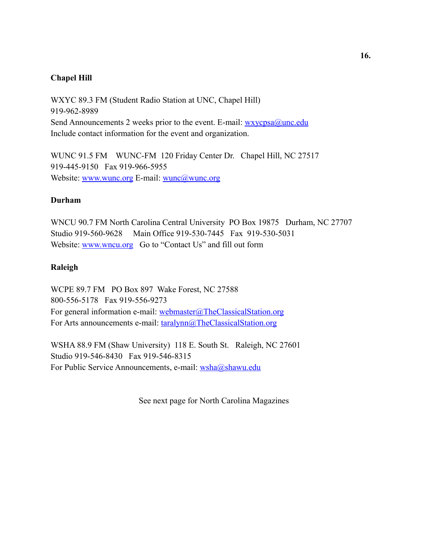## **Chapel Hill**

WXYC 89.3 FM (Student Radio Station at UNC, Chapel Hill) 919-962-8989 Send Announcements 2 weeks prior to the event. E-mail: wxycpsa@unc.edu Include contact information for the event and organization.

WUNC 91.5 FM WUNC-FM 120 Friday Center Dr. Chapel Hill, NC 27517 919-445-9150 Fax 919-966-5955 Website: [www.wunc.org](http://www.wunc.org/) E-mail: [wunc@wunc.org](mailto:wunc@wunc.org)

### **Durham**

WNCU 90.7 FM North Carolina Central University PO Box 19875 Durham, NC 27707 Studio 919-560-9628 Main Office 919-530-7445 Fax 919-530-5031 Website: [www.wncu.org](http://www.wncu.org/) Go to "Contact Us" and fill out form

#### **Raleigh**

WCPE 89.7 FM PO Box 897 Wake Forest, NC 27588 800-556-5178 Fax 919-556-9273 For general information e-mail: [webmaster@TheClassicalStation.org](mailto:webmaster@TheClassicalStation.org) For Arts announcements e-mail: [taralynn@TheClassicalStation.org](mailto:taralynn@TheClassicalStation.org)

WSHA 88.9 FM (Shaw University) 118 E. South St. Raleigh, NC 27601 Studio 919-546-8430 Fax 919-546-8315 For Public Service Announcements, e-mail: [wsha@shawu.edu](mailto:wsha@shawu.edu)

See next page for North Carolina Magazines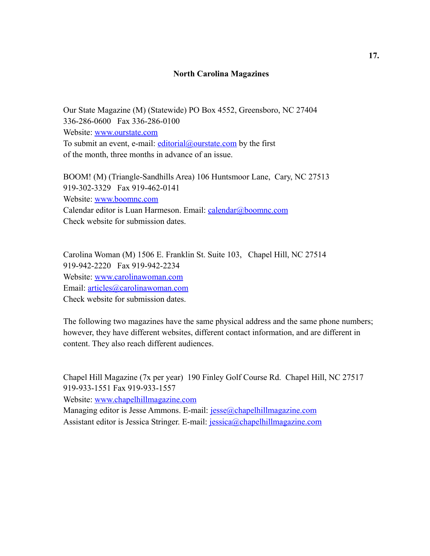#### **North Carolina Magazines**

Our State Magazine (M) (Statewide) PO Box 4552, Greensboro, NC 27404 336-286-0600 Fax 336-286-0100 Website: [www.ourstate.com](http://www.ourstate.com/) To submit an event, e-mail:  $editorial@our state.com$  by the first of the month, three months in advance of an issue.

BOOM! (M) (Triangle-Sandhills Area) 106 Huntsmoor Lane, Cary, NC 27513 919-302-3329 Fax 919-462-0141 Website: [www.boomnc.com](http://www.boomnc.com/) Calendar editor is Luan Harmeson. Email: [calendar@boomnc.com](mailto:calendar@boomnc.com) Check website for submission dates.

Carolina Woman (M) 1506 E. Franklin St. Suite 103, Chapel Hill, NC 27514 919-942-2220 Fax 919-942-2234 Website: [www.carolinawoman.com](http://www.carolinawoman.com/) Email: [articles@carolinawoman.com](mailto:articles@carolinawoman.com) Check website for submission dates.

The following two magazines have the same physical address and the same phone numbers; however, they have different websites, different contact information, and are different in content. They also reach different audiences.

Chapel Hill Magazine (7x per year) 190 Finley Golf Course Rd. Chapel Hill, NC 27517 919-933-1551 Fax 919-933-1557

Website: [www.chapelhillmagazine.com](http://www.chapelhillmagazine.com/)

Managing editor is Jesse Ammons. E-mail: [jesse@chapelhillmagazine.com](mailto:jesse@chapelhillmagazine.com) Assistant editor is Jessica Stringer. E-mail: [jessica@chapelhillmagazine.com](mailto:jessica@chapelhillmagazine.com)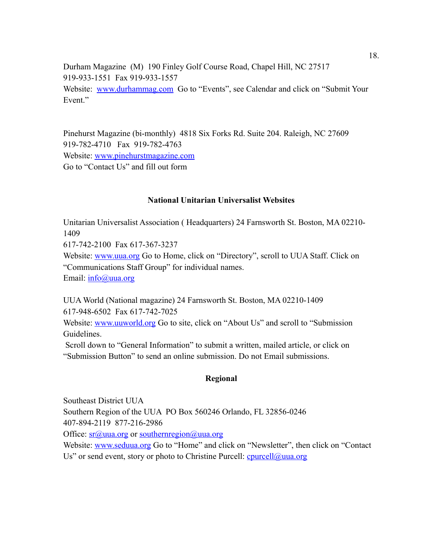Durham Magazine (M) 190 Finley Golf Course Road, Chapel Hill, NC 27517 919-933-1551 Fax 919-933-1557 Website: [www.durhammag.com](http://www.durhammag.com/) Go to "Events", see Calendar and click on "Submit Your Event."

Pinehurst Magazine (bi-monthly) 4818 Six Forks Rd. Suite 204. Raleigh, NC 27609 919-782-4710 Fax 919-782-4763 Website: [www.pinehurstmagazine.com](http://www.pinehurstmagazine.com/) Go to "Contact Us" and fill out form

### **National Unitarian Universalist Websites**

Unitarian Universalist Association ( Headquarters) 24 Farnsworth St. Boston, MA 02210- 1409

617-742-2100 Fax 617-367-3237

Website: [www.uua.org](http://www.uua.org/) Go to Home, click on "Directory", scroll to UUA Staff. Click on "Communications Staff Group" for individual names.

Email: [info@uua.org](mailto:info@uua.org)

UUA World (National magazine) 24 Farnsworth St. Boston, MA 02210-1409 617-948-6502 Fax 617-742-7025

Website: [www.uuworld.org](http://www.uuworld.org/) Go to site, click on "About Us" and scroll to "Submission" Guidelines.

 Scroll down to "General Information" to submit a written, mailed article, or click on "Submission Button" to send an online submission. Do not Email submissions.

#### **Regional**

Southeast District UUA Southern Region of the UUA PO Box 560246 Orlando, FL 32856-0246 407-894-2119 877-216-2986

Office:  $sr@uua.org$  or southernregion $@uua.org$ 

Website: [www.seduua.org](http://www.seduua.org/) Go to "Home" and click on "Newsletter", then click on "Contact Us" or send event, story or photo to Christine Purcell:  $c$ purcell@uua.org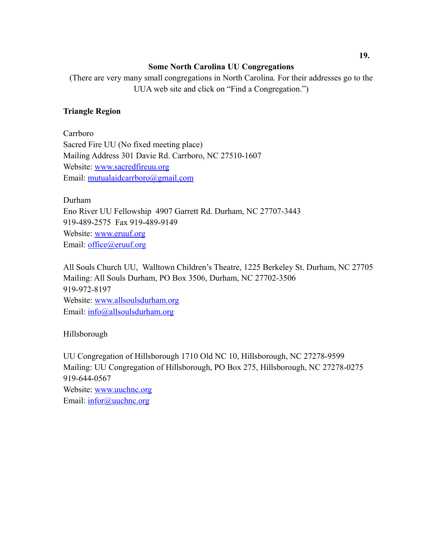## **Some North Carolina UU Congregations**

(There are very many small congregations in North Carolina. For their addresses go to the UUA web site and click on "Find a Congregation.")

# **Triangle Region**

Carrboro Sacred Fire UU (No fixed meeting place) Mailing Address 301 Davie Rd. Carrboro, NC 27510-1607 Website: [www.sacredfireuu.org](http://www.sacredfireuu.org/) Email: [mutualaidcarrboro@gmail.com](mailto:mutualaidcarrboro@gmail.com)

Durham Eno River UU Fellowship 4907 Garrett Rd. Durham, NC 27707-3443 919-489-2575 Fax 919-489-9149 Website: [www.eruuf.org](http://www.eruuf.org/) Email: [office@eruuf.org](mailto:office@eruuf.org)

All Souls Church UU, Walltown Children's Theatre, 1225 Berkeley St. Durham, NC 27705 Mailing: All Souls Durham, PO Box 3506, Durham, NC 27702-3506 919-972-8197 Website: [www.allsoulsdurham.org](http://www.allsoulsdurham.org/) Email: [info@allsoulsdurham.org](mailto:info@allsoulsdurham.org)

Hillsborough

UU Congregation of Hillsborough 1710 Old NC 10, Hillsborough, NC 27278-9599 Mailing: UU Congregation of Hillsborough, PO Box 275, Hillsborough, NC 27278-0275 919-644-0567 Website: [www.uuchnc.org](http://www.uuchnc.org/) Email: [infor@uuchnc.org](mailto:infor@uuchnc.org)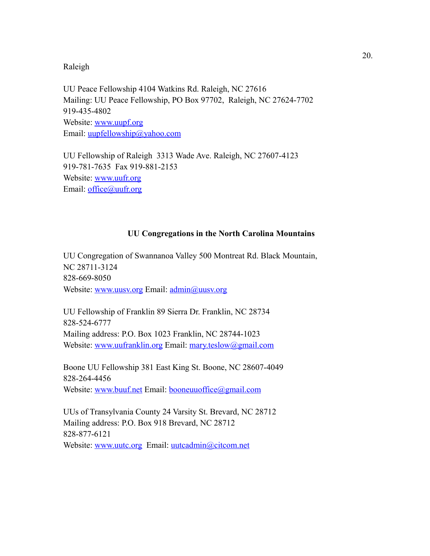### Raleigh

UU Peace Fellowship 4104 Watkins Rd. Raleigh, NC 27616 Mailing: UU Peace Fellowship, PO Box 97702, Raleigh, NC 27624-7702 919-435-4802 Website: [www.uupf.org](http://www.uupf.org/) Email: [uupfellowship@yahoo.com](mailto:uupfellowship@yahoo.com)

UU Fellowship of Raleigh 3313 Wade Ave. Raleigh, NC 27607-4123 919-781-7635 Fax 919-881-2153 Website: [www.uufr.org](http://www.uufr.org/) Email: [office@uufr.org](mailto:office@uufr.org)

#### **UU Congregations in the North Carolina Mountains**

UU Congregation of Swannanoa Valley 500 Montreat Rd. Black Mountain, NC 28711-3124 828-669-8050 Website: [www.uusv.org](http://www.uusv.org/) Email: [admin@uusv.org](mailto:admin@uusv.org)

UU Fellowship of Franklin 89 Sierra Dr. Franklin, NC 28734 828-524-6777 Mailing address: P.O. Box 1023 Franklin, NC 28744-1023 Website: [www.uufranklin.org](http://www.uufranklin.org/) Email: [mary.teslow@gmail.com](mailto:mary.teslow@gmail.com)

Boone UU Fellowship 381 East King St. Boone, NC 28607-4049 828-264-4456 Website: [www.buuf.net](http://www.buuf.net/) Email: [booneuuoffice@gmail.com](mailto:booneuuoffice@gmail.com)

UUs of Transylvania County 24 Varsity St. Brevard, NC 28712 Mailing address: P.O. Box 918 Brevard, NC 28712 828-877-6121 Website: [www.uutc.org](http://www.uutc.org/) Email: [uutcadmin@citcom.net](mailto:uutcadmin@citcom.net)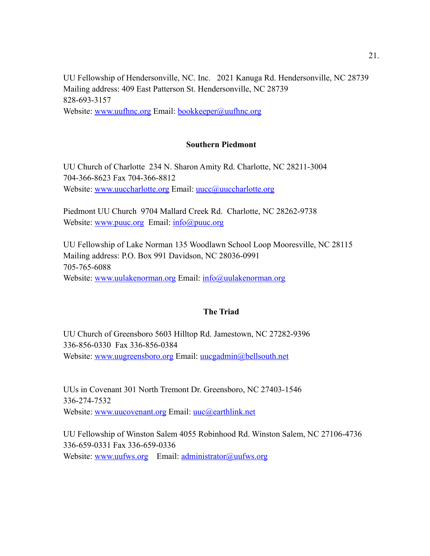UU Fellowship of Hendersonville, NC. Inc. 2021 Kanuga Rd. Hendersonville, NC 28739 Mailing address: 409 East Patterson St. Hendersonville, NC 28739 828-693-3157 Website: [www.uufhnc.org](http://www.uufhnc.org/) Email: [bookkeeper@uufhnc.org](mailto:bookkeeper@uufhnc.org)

## **Southern Piedmont**

UU Church of Charlotte 234 N. Sharon Amity Rd. Charlotte, NC 28211-3004 704-366-8623 Fax 704-366-8812 Website: [www.uuccharlotte.org](http://www.uuccharlotte.org/) Email: [uucc@uuccharlotte.org](mailto:uucc@uuccharlotte.org)

Piedmont UU Church 9704 Mallard Creek Rd. Charlotte, NC 28262-9738 Website: [www.puuc.org](http://www.puuc.org/) Email: [info@puuc.org](mailto:info@puuc.org)

UU Fellowship of Lake Norman 135 Woodlawn School Loop Mooresville, NC 28115 Mailing address: P.O. Box 991 Davidson, NC 28036-0991 705-765-6088 Website: [www.uulakenorman.org](http://www.uulakenorman.org/) Email: [info@uulakenorman.org](mailto:info@uulakenorman.org)

### **The Triad**

UU Church of Greensboro 5603 Hilltop Rd. Jamestown, NC 27282-9396 336-856-0330 Fax 336-856-0384 Website: [www.uugreensboro.org](http://www.uugreensboro.org/) Email: [uucgadmin@bellsouth.net](mailto:uucgadmin@bellsouth.net)

UUs in Covenant 301 North Tremont Dr. Greensboro, NC 27403-1546 336-274-7532 Website: [www.uucovenant.org](http://www.uucovenant.org/) Email: [uuc@earthlink.net](mailto:uuc@earthlink.net)

UU Fellowship of Winston Salem 4055 Robinhood Rd. Winston Salem, NC 27106-4736 336-659-0331 Fax 336-659-0336 Website: [www.uufws.org](http://www.uufws.org/) Email: [administrator@uufws.org](mailto:administrator@uufws.org)